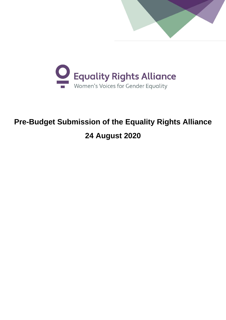



# **Pre-Budget Submission of the Equality Rights Alliance 24 August 2020**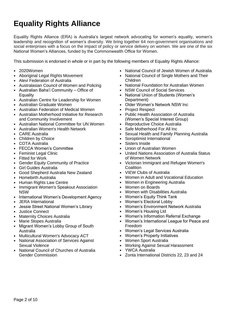# **Equality Rights Alliance**

Equality Rights Alliance (ERA) is Australia's largest network advocating for women's equality, women's leadership and recognition of women's diversity. We bring together 64 non-government organisations and social enterprises with a focus on the impact of policy or service delivery on women. We are one of the six National Women's Alliances, funded by the Commonwealth Office for Women.

This submission is endorsed in whole or in part by the following members of Equality Rights Alliance:

- 2020Women
- Aboriginal Legal Rights Movement
- Alevi Federation of Australia
- Australasian Council of Women and Policing
- Australian Baha'i Community Office of **Equality**
- Australian Centre for Leadership for Women
- Australian Graduate Women
- Australian Federation of Medical Women
- Australian Motherhood Initiative for Research and Community Involvement
- Australian National Committee for UN Women
- Australian Women's Health Network
- CARE Australia
- Children by Choice
- COTA Australia
- FECCA Women's Committee
- Feminist Legal Clinic
- Fitted for Work
- Gender Equity Community of Practice
- Girl Guides Australia
- Good Shepherd Australia New Zealand
- Homebirth Australia
- **Human Rights Law Centre**
- Immigrant Women's Speakout Association NSW
- International Women's Development Agency
- JERA International
- Jessie Street National Women's Library
- Justice Connect
- **Maternity Choices Australia**
- Marie Stopes Australia
- Migrant Women's Lobby Group of South Australia
- Multicultural Women's Advocacy ACT
- National Association of Services Against Sexual Violence
- National Council of Churches of Australia Gender Commission
- National Council of Jewish Women of Australia
- National Council of Single Mothers and Their Children
- National Foundation for Australian Women
- NSW Council of Social Services
- National Union of Students (Women's Department)
- Older Women's Network NSW Inc
- Project Respect
- Public Health Association of Australia (Women's Special Interest Group)
- Reproductive Choice Australia
- Safe Motherhood For All Inc
- Sexual Health and Family Planning Australia
- Soroptimist International
- Sisters Inside
- Union of Australian Women
- United Nations Association of Australia Status of Women Network
- Victorian Immigrant and Refugee Women's **Coalition**
- VIEW Clubs of Australia
- Women in Adult and Vocational Education
- Women in Engineering Australia
- Women on Boards
- Women with Disabilities Australia
- Women's Equity Think Tank
- Women's Electoral Lobby
- Women's Environment Network Australia
- Women's Housing Ltd
- Women's Information Referral Exchange
- Women's International League for Peace and Freedom
- Women's Legal Services Australia
- Women's Property Initiatives
- Women Sport Australia
- Working Against Sexual Harassment
- YWCA Australia
- Zonta International Districts 22, 23 and 24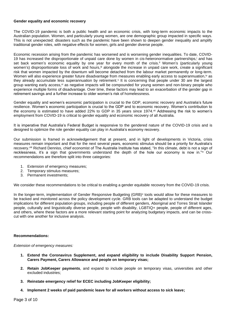#### **Gender equality and economic recovery**

The COVID-19 pandemic is both a public health and an economic crisis, with long-term economic impacts to the Australian population. Women, and particularly young women, are one demographic group impacted in specific ways. This is not unexpected: disasters such as the pandemic have been shown to deepen gender inequality and amplify traditional gender roles, with negative effects for women, girls and gender diverse people.

Economic recession arising from the pandemic has worsened and is worsening gender inequalities. To date, COVID-19 has increased the disproportionate of unpaid care done by women in cis-heteronormative partnerships, and has set back women's economic equality by one year for every month of the crisis.<sup>ii</sup> Women's (particularly young women's) disproportionate loss of work and hours,<sup>ii</sup> alongside the increase in unpaid care work, create a significant risk that women impacted by the downturn will become detached from the labour market permanently or long-term. Women will also experience greater future disadvantage from measures enabling early access to superannuation,<sup>iv</sup> as they already accumulate less superannuation by retirement.<sup>v</sup> It is concerning that people under 30 are the largest group wanting early access,<sup>vi</sup> as negative impacts will be compounded for young women and non-binary people who experience multiple forms of disadvantage. Over time, these factors may lead to an exacerbation of the gender gap in retirement savings and a further increase to older women's risk of homelessness.

Gender equality and women's economic participation is crucial to the GDP, economic recovery and Australia's future resilience. Women's economic participation is crucial to the GDP and to economic recovery. Women's contribution to the economy is estimated to have added 22% to GDP in 35 years since 1974.<sup>vii</sup> Addressing the risk to women's employment from COVID-19 is critical to gender equality and economic recovery of all Australia.

It is imperative that Australia's Federal Budget is responsive to the gendered nature of the COVID-19 crisis and is designed to optimize the role gender equality can play in Australia's economy recovery.

Our submission is framed in acknowledgement that at present, and in light of developments in Victoria, crisis measures remain important and that for the next several years, economic stimulus should be a priority for Australia's recovery. viii Richard Denniss, chief economist of The Australia Institute has stated, "In this climate, debt is not a sign of recklessness, it's a sign that governments understand the depth of the hole our economy is now in."ix Our recommendations are therefore split into three categories:

- 1. Extension of emergency measures;
- 2. Temporary stimulus measures;
- 3. Permanent investments;

We consider these recommendations to be critical to enabling a gender equitable recovery from the COVID-19 crisis.

In the longer-term, implementation of Gender Responsive Budgeting (GRB)<sup>x</sup> tools would allow for these measures to be tracked and monitored across the policy development cycle. GRB tools can be adapted to understand the budget implications for different population groups, including people of different genders, Aboriginal and Torres Strait Islander people, culturally and linguistically diverse people, people with disability, LGBTIQ+ people, people of different ages, and others, where these factors are a more relevant starting point for analyzing budgetary impacts, and can be crosscut with one another for inclusive analysis.

# **Recommendations:**

*Extension of emergency measures:*

- **1. Extend the Coronavirus Supplement, and expand eligibility to include Disability Support Pension, Carers Payment, Carers Allowance and people on temporary visas;**
- **2. Retain JobKeeper payments**, and expand to include people on temporary visas, universities and other excluded industries;
- **3. Reinstate emergency relief for ECEC including JobKeeper eligibility;**
- **4. Implement 2 weeks of paid pandemic leave for all workers without access to sick leave;**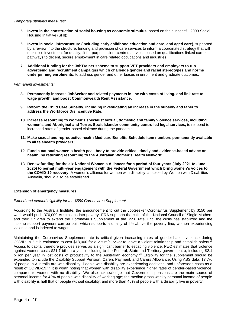#### *Temporary stimulus measures:*

- 5. **Invest in the construction of social housing as economic stimulus,** based on the successful 2009 Social Housing Initiative (SHI);
- 6. **Invest in social infrastructure (including early childhood education and care, and aged care),** supported by a review into the structure, funding and provision of care services to inform a coordinated strategy that will maximise investment for quality, fit for purpose client-centred services based on qualifications linked career pathways to decent, secure employment in care related occupations and industries;
- 7. **Additional funding for the JobTrainer scheme to support VET providers and employers to run advertising and recruitment campaigns which challenge gender and racial stereotypes and norms underpinning enrolments**, to address gender and other biases in enrolment and graduate outcomes.

# *Permanent investments:*

- **8. Permanently increase JobSeeker and related payments in line with costs of living, and link rate to wage growth, and boost Commonwealth Rent Assistance;**
- **9. Reform the Child Care Subsidy, including investigating an increase in the subsidy and taper to address the Workforce Disincentive Rate;**
- **10. Increase resourcing to women's specialist sexual, domestic and family violence services, including women's and Aboriginal and Torres Strait Islander community controlled legal services,** to respond to increased rates of gender-based violence during the pandemic;
- **11. Make sexual and reproductive health Medicare Benefits Schedule item numbers permanently available to all telehealth providers;**
- 12. **Fund a national women's health peak body to provide critical, timely and evidence-based advice on health, by returning resourcing to the Australian Women's Health Network;**
- 13. **Renew funding for the six National Women's Alliances for a period of four years (July 2021 to June 2025) to permit multi-year engagement with the Federal Government which bring women's voices to the COVID-19 recovery**. A women's alliance for women with disability, auspiced by Women with Disablities Australia, should also be established.

# **Extension of emergency measures**

# *Extend and expand eligibility for the \$550 Coronavirus Supplement*

According to the Australia Institute, the announcement to cut the JobSeeker Coronavirus Supplement by \$150 per work would push 370,000 Australians into poverty. ERA supports the calls of the National Council of Single Mothers and their Children to extend the Coronavirus Supplement at the \$550 rate, until the crisis has stabilized and the income support payment can be built which supports a quality of life above the poverty line, women experiencing violence and is indexed to wages.

Maintaining the Coronavirus Supplement rate is critical given increasing rates of gender-based violence during COVID-19.<sup>xi</sup> It is estimated to cost \$18,000 for a victim/survivor to leave a violent relationship and establish safety.<sup>xii</sup> Access to capital therefore provides serves as a significant barrier to escaping violence. PwC estimates that violence against women costs \$21.7 billion a year (including to the Federal, State and Territory governments), including \$2.1 billion per year in lost costs of productivity to the Australian economy.<sup>xiii</sup> Eligibility for the supplement should be expanded to include the Disability Support Pension, Carers Payment, and Carers Allowance. Using ABS data, 17.7% of people in Australia are with disability. People with disability are experiencing additional and unforeseen costs as a result of COVID-19.<sup>xiv</sup> It is worth noting that women with disability experience higher rates of gender-based violence, compared to women with no disability. We also acknowledge that Government pensions are the main source of personal income for 42% of people with disability of working age; the median gross weekly personal income of people with disability is half that of people without disability; and more than 45% of people with a disability live in poverty.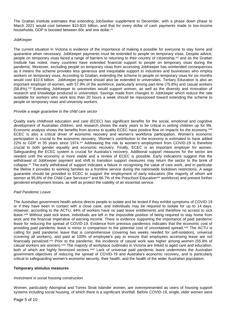The Grattan Institute estimates that extending JobSeeker supplement to December, with a phase down phase to March 2021 would cost between \$10-\$15 billion, and that for every dollar of cash payments made to low-income households, GDP is boosted between 60c and one dollar.<sup>xv</sup>

#### *JobKeeper*

The current situation in Victoria is evidence of the importance of making it possible for everyone to stay home and quarantine when necessary. JobKeeper payments must be extended to people on temporary visas. Despite advice, people on temporary visas faced a range of barriers to returning to their country of citizenship,<sup>xvi</sup> and as the Grattan Institute has noted, many countries have extended financial support to people on temporary visas during the pandemic. Moreover, excluding people on temporary visas from accessing JobKeeper has unintended consequences as it means the scheme provides less generous and inequitable support to industries and businesses who employ workers on temporary visas. According to Grattan, extending the scheme to people on temporary visas for six months would cost \$10.6 billion. JobKeeper payment should also be extended to universities. Tertiary Education is also an important employer of women, with 57.9% of the workforce, particularly among part-time (75.8%) and casual workers (58.8%).xvii Extending JobKeeper to universities would support women, as well as the diversity and innovation of research and knowledge produced in universities. Savings made from changes to JobKeeper which reduce the rate available for workers who work less than 20 hours a week should be repurposed toward extending the scheme to people on temporary visas and university workers.

#### *Provide a wage guarantee to the child care sector*

Quality early childhood education and care (ECEC) has significant benefits for the social, emotional and cognitive development of Australian children, and research shows the early years to be critical in setting children up for life. Economic analysis shows the benefits from access to quality ECEC have positive flow on impacts for the economy.<sup>xviii</sup> ECEC is also a critical driver of economic recovery and women's workforce participation. Women's economic participation is crucial to the economic recovery. Women's contribution to the economy is estimated to have added 22% to GDP in 35 years since 1974.xix Addressing the risk to women's employment from COVID-19 is therefore crucial to both gender equality and economic recovery. Finally, ECEC is an important employer for women. Safeguarding the ECEC system is crucial for Australia's recovery. Additional support measures for the sector are needed until the economy is more stable and a review of ECEC is possible. Early indications suggest that the withdrawal of JobKeeper payment and shift to transition support measures may return the sector to the brink of collapse.<sup>xx</sup> The early withdrawal of support indicates a failure in recognising the value of care work, and in particular the lifeline it provides to working families as a frontline service during the nationwide lockdown restrictions. A wage guarantee should be provided to ECEC to support the employment of early educators (the majority of whom are women at 95.6% of the Child Care Services<sup>xxi</sup> and 86.7% of the Preschool Education<sup>xxii</sup> workforce) and prevent further gendered employment losses, as well as protect the viability of an essential service.

# *Paid Pandemic Leave*

The Australian government health advice directs people to isolate and be tested if they exhibit symptoms of COVID-19 or if they have been in contact with a close case, and individuals may be required to isolate for up to 14 days. However, according to the ACTU, 44% of workers have no paid leave entitlements and therefore no access to sick leave.<sup>xxiii</sup> Without paid sick leave, individuals are left in the impossible position of being required to stay home from work and the financial imperative of earning income. There is evidence supporting the importance of paid pandemic leave for reducing the spread of COVID-19. Evidence from previous pandemics indicates that the economic cost of providing paid pandemic leave is minor in comparison to the potential cost of uncontained spread.<sup>xxiv</sup> The ACTU is calling for paid pandemic leave that is comprehensive (covering two weeks needed for self-isolation), universal (covering all workers), and paid at 100% of employee's pay to ensure that employees accessing leave are not financially penalized.<sup>xxv</sup> Prior to the pandemic, the incidence of casual work was higher among women (55.9% of casual workers are women).xxvi The majority of workplace outbreaks in Victoria are linked to aged care and education, both of which are highly feminized sectors.<sup>xxvii</sup> Lack of universal paid pandemic leave undermines the Australian government objectives of reducing the spread of COVID-19 and Australia's economic recovery, and is particularly critical to safeguarding women's economic security, their health, and the health of the wider Australian population.

# **Temporary stimulus measures**

# *Investment in social housing construction*

Women, particularly Aboriginal and Torres Strait Islander women, are overrepresented as users of housing support systems including social housing, of which there is a significant shortfall. Before COVID-19, single, older women were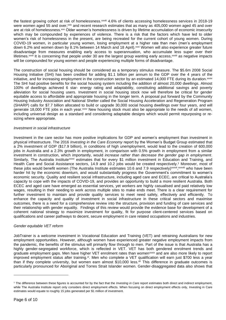the fastest growing cohort at risk of homelessness.<sup>xxviii</sup> 4.6% of clients accessing homelessness services in 2018-19 were women aged 55 and over,<sup>xxix</sup> and recent research estimates that as many as 405,000 women aged 45 and over are at risk of homelessness.<sup>xxx</sup> Older women's homelessness is driven by lifetime accumulation of economic insecurity which may be compounded by experiences of violence. There is a risk that the factors which have led to older women's risk of homelessness in the present, are being recreated for the current cohort of young women. During COVID-19 women, in particular young women, losing employment at a higher rate than men (men's employment down 6.2% and women down by 8.1% between 14 March and 18 April).<sup>xxxi</sup> Women will also experience greater future disadvantage from measures enabling early access to superannuation, who accumulate less super over their lifetimes.<sup>xxxii</sup> It is concerning that people under 30 are the largest group wanting early access,<sup>xxxiii</sup> as negative impacts will be compounded for young women and people experiencing multiple forms of disadvantage.

The construction of social housing should be considered as a temporary stimulus measure. The \$5.6m 2008 Social Housing Initiative (SHI) has been credited for adding \$1.1 billion per annum to the GDP over the 4 years of the initiative, and for increasing employment in the construction sector by an estimated 14,000 FTE during its duration.<sup>xxxiv</sup> The SHI had positive benefits for the social housing system including the addition of almost 20,000 dwellings. Almost 100% of dwellings achieved 6 star- energy rating and adaptability, constituting additional savings and poverty alleviation for social housing users. Investment in social housing stock now will therefore be critical for gender equitable access to affordable and appropriate housing in the longer term. A proposal put forward by the Community Housing Industry Association and National Shelter called the Social Housing Acceleration and Regeneration Program (SHARP) calls for \$7.7 billion allocated to build or upgrade 30,000 social housing dwellings over four years, and will generate 18,000 FTE jobs in each year.<sup>xxxv</sup> New housing stock must also be appropriate to the needs of all women, including universal design as a standard and considering adaptable designs which would permit repurposing or resizing where appropriate.

#### *Investment in social infrastructure*

Investment in the care sector has more positive implications for GDP and women's employment than investment in physical infrastructure. The 2016 *Investing in the Care Economy* report by the Women's Budget Group estimated that a 2% investment of GDP (\$17.9 billion), in conditions of high unemployment, would lead to the creation of 600,000 jobs in Australia and a 2.3% growth in employment, in comparison with 0.5% growth in employment from a similar investment in construction, which importantly, would *increase rather than decrease the gender gap in employment*. Similarly, The Australia Institute<sup>xxxvi</sup> estimates that for every \$1 million investment in Education and Training, and Health Care and Social Assistance sectors, 14.9 and 10.2 jobs would be created respectively.<sup>1</sup> Moreover, most of these jobs would benefit women (The Australia Institute estimates 10.6 and 7.9 respectively)<sup>xxxvii</sup>,<sup>xxxviii</sup> who have been harder hit by the economic downturn, and would substantially progress the Government's commitment to women's economic security. Quality and resilient social infrastructure, including aged care and ECEC, are critical to Australia's capacity to cope with the impacts of COVID-19, and provides an opportunity to build a more resilient Australia. Both ECEC and aged care have emerged as essential services, yet workers are highly casualised and paid relatively low wages, resulting in their needing to work across multiple sites to make ends meet. There is a clear requirement for further investment to maintain and provide quality services to meet need safely, effectively and efficiently. To enhance the capacity and quality of investment in social infrastructure in these critical sectors and maximise outcomes, there is a need for a comprehensive review into the structure, provision and funding of care services and their relationship with gender equality. Findings of this review would provide the evidence base for development of a coherent national strategy to maximize investment for quality, fit for purpose client-centered services based on qualifications and career pathways to decent, secure employment in care related occupations and industries.

# *Gender equitable VET reform*

JobTrainer is a welcome investment in Vocational Education and Training (VET) and retraining Australians for new employment opportunities. However, although women have experienced greater negative employment impacts from the pandemic, the benefits of the stimulus will primarily flow through to men. Part of the issue is that Australia has a highly gender-segregated workforce, which is reflected in VET. VET has both gendered enrolment trends and graduate employment gaps. Men have higher VET enrolment rates than womenxxxix and are also more likely to report improved employment status after training.<sup>x</sup>. Men who complete a VET qualification will earn just \$700 less a year than if they complete university, but women earn almost \$10,000 less.<sup>xii</sup> This difference in graduate outcomes is particularly pronounced for Aboriginal and Torres Strait Islander women. Gender-disaggregated data also shows that

<sup>1</sup> The difference between these figures is accounted for by the fact that the *Investing in Care* report estimates both direct and indirect employment, while The Australia Institute report only considers direct employment effects. When focusing on direct employment effects only, Investing in Care estimates would equate to roughly 15 jobs generated per \$1 million of investment.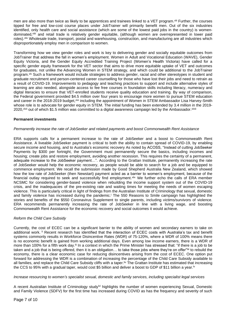men are also more than twice as likely to be apprentices and trainees linked to a VET program. xlii Further, the courses tipped for free and low-cost course places under JobTrainer will primarily benefit men. Out of the six industries identified, only health care and social assistance (which are some of the lowest paid jobs in the country) is womendominated, xliii and retail trade is relatively gender equitable, (although women are overrepresented in lower paid roles). xliv Wholesale trade, transport, postal and warehousing, construction, and manufacturing are all industries which disproportionately employ men in comparison to women.

Transforming how we view gender roles and work is key to delivering gender and socially equitable outcomes from JobTrainer that address the fall in women's employment. Women in Adult and Vocational Education (WAVE), Gender Equity Victoria, and the Gender Equity Accredited Training Project (Women's Health Victoria) have called for a specific gender equity framework for the VET sector that aims to drive more equitable uptake of VET and outcomes for graduates, not unlike the Advancing Women in STEM strategy, and which could be additional to the JobTrainer program.<sup>xiv</sup> Such a framework would include strategies to address gender, racial and other stereotypes in student and graduate recruitment and person-centered career counselling for those who have lost their jobs and need to retrain as a result of COVID-19. Improvements to pedagogy and teaching practices to support and include alternative styles of learning are also needed, alongside access to fee free courses in foundation skills including literacy, numeracy and digital literacies to ensure that VET-enrolled students receive quality education and training. By way of comparison, the Federal government provided \$4.5 million over four years to encourage more women to pursue STEM education and career in the 2018-2019 budget, xlvi including the appointment of Women in STEM Ambassador Lisa Harvey-Smith whose role is to advocate for gender equity in STEM. The initial funding has been extended by 3.4 million in the 2019-2020,<sup>xlvii</sup> out of which \$1.5 million was committed to a digital awareness campaign led by the Ambassador. Xlviii

# **Permanent investments**

# *Permanently increase the rate of JobSeeker and related payments and boost Commonwealth Rent Assistance*

ERA supports calls for a permanent increase to the rate of JobSeeker and a boost to Commonwealth Rent Assistance. A liveable JobSeeker payment is critical to both the ability to contain spread of COVID-19, by enabling secure income and housing, and to Australia's economic recovery As noted by ACOSS, "Instead of cutting JobSeeker Payments by \$300 per fortnight, the Government must permanently secure the basics, including incomes and housing; create jobs and restore employment, avoiding another recession. This requires the certainty of a permanent, adequate increase to the JobSeeker payment…". According to the Grattan Institute, permanently increasing the rate of JobSeeker would help the economic recovery, as people would be able to search for a job and be equipped to commence employment. We recall the submission made by Good Shepherd Australia New Zealand, which showed how the low rate of JobSeeker (then Newstart) payment acted as a barrier to women's employment, because of the financial outlay required to seek and successfully find employment.xlix We further echo the calls of ERA member NCSMC for considering gender-based violence when rebuilding the income support system out of the COVID-19 crisis, and the inadequacies of the pre-existing rate and waiting times for meeting the needs of women escaping violence. This is particularly critical in light of findings from the Australian Institute of Criminology that sexual, domestic and family violence has increased during the pandemic.<sup>1</sup> The 550 Reasons to Smile campaign has highlighted the stories and benefits of the \$550 Coronavirus Supplement to single parents, including victims/survivors of violence. ERA recommends permanently increasing the rate of JobSeeker in line with a living wage, and boosting Commonwealth Rent Assistance for the economic recovery and social outcomes it would achieve.

#### *Reform the Child Care Subsidy*

Currently, the cost of ECEC can be a significant barrier to the ability of women and secondary earners to take on additional work. <sup>II</sup> Recent research has identified that the interaction of ECEC costs with Australia's tax and benefit systems commonly results in Workforce Disincentive Rates (WDR) of 75-120%, where a WDR of 100% means there is no economic benefit is gained from working additional days. Even among low income earners, there is a WDR of more than 100% for a fifth work day.<sup>ii</sup> In a context in which the Prime Minister has stressed that: "if there is a job to be taken and a job that is being offered, then it is an obligation... to take those jobs where they're on offer"liii to rebuild the economy, there is a clear economic case for reducing disincentives arising from the cost of ECEC. One option put forward for addressing the WDR is a combination of increasing the percentage of the Child Care Subsidy available to all families, and replace the Child Care Subsidy cliffs with a taper.<sup>liv</sup> The Grattan Institute has estimated that increasing the CCS to 95% with a gradual taper, would cost \$5 billion and deliver a boost to GDP of \$11 billion a year.<sup>1</sup>

#### *Increase resourcing to women's specialist sexual, domestic and family services, including specialist legal services*

A recent Australian Institute of Criminology studylvi highlights the number of women experiencing Sexual, Domestic and Family Violence (SDFV) for the first time has increased during COVID as has the frequency and severity of such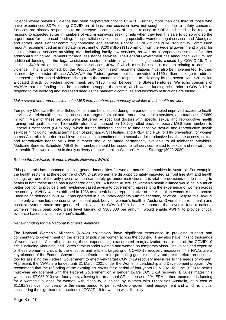violence where previous violence had been perpetrated prior to COVID. Further, more than one third of those who have experienced SDFV during COVID on at least one occasion have not sought help due to safety concerns. Services are already responding to an increase in complexity of issues relating to SDFV and need to be ready to respond to expected surge in numbers of victims-survivors seeking help when they feel it is safe to do so and so the urgent need for increased funding, for specialist services including specialist women's legal services and Aboriginal and Torres Strait Islander community controlled legal services. Prior to COVID-19, the 2014 Productivity Commission report<sup>tvii</sup> recommended an immediate investment of \$200 million (\$120 million from the Federal government) a year for legal assistance services providing civil, including family law services, as well as a proper assessment of further additional funding requirements for legal assistance services. The Federal Government has announced \$63.3 million additional funding for the legal assistance sector to address additional legal needs caused by COVID-19. This includes \$49.8 million for legal assistance services, 40% of which must be used in matters relating to domestic violence. This is welcomed, but the Productivity Commission recommendations must also be implemented. Further, as noted by our sister alliance AWAVA,<sup>Iviii</sup> the Federal government has provided a \$150 million package to address increased gender-based violence arising from the pandemic in response to advocacy by the sector, with \$20 million allocated directly by Federal government, and \$130 million between the States/Territories. We echo concerns of AWAVA that this funding must be expanded to support the sector, which was in funding crisis prior to COVID-19, to respond to the evolving and increased need as the pandemic continues and lockdown restrictions are eased.

# *Make sexual and reproductive health MBS item numbers permanently available to telehealth providers*

Temporary Medicare Benefits Schedule item numbers issued during the pandemic enabled improved access to health services via telehealth, including access to a range of sexual and reproductive health services, at a total cost of \$669 million. lix Many of these services were delivered by specialist doctors with specific sexual and reproductive health training and qualifications. Telehealth reforms [announced on 10 July](https://aus01.safelinks.protection.outlook.com/?url=https%3A%2F%2Fwww.health.gov.au%2Fministers%2Fthe-hon-greg-hunt-mp%2Fmedia%2Fcontinuous-care-with-telehealth-stage-seven&data=02%7C01%7C%7C8feb07cc41f64f24db3208d843f407c2%7C19f8b65eff1a401687bcd17a9252176f%7C0%7C0%7C637334062722880920&sdata=iRW%2FAlqne4y1B%2FzS6nK02G1uorJObMmm%2FH9ymEV3gQc%3D&reserved=0) rolled back temporary MBS item numbers to General Practitioners (GPs) only, which further hindered access to time-sensitive sexual and reproductive health services,<sup>1x</sup> including medical termination of pregnancy, STI testing, and PREP and PEP for HIV prevention, for women across Australia. In order to achieve our national commitments to sexual and reproductive healthcare access, sexual and reproductive health MBS item numbers should be made permanently available to all telehealth providers. Medicare Benefits Schedule (MBS) item numbers should be issued for all services related to sexual and reproductive telehealth. This would assist in timely delivery of the Australian Women's Health Strategy (2020-2030).

#### *Refund the Australian Women's Health Network (AWHN)*

This pandemic has enhanced existing gender inequalities for women across communities in Australia. For example, the health sector is at the epicentre of COVID-19: women are disproportionately impacted as front line staff and health settings are one of the only places women can safely go under restrictions. It is vital the decisions made relating to health in both these areas has a gendered analysis. A funded Australian women's health alliance would be in a much better position to provide timely, evidence-based advice to government representing the experience of women across the country. AWHN was established in 1986 as a peak body, representative of the Australian women's health sector. Since being defunded in 2014, it has operated in a voluntary capacity with no secretary or office. Despite this, AWHN is the only women led, representative national peak body for women's health in Australia. Given the current health and hospital systems strain and gendered implications of COVID-19, it is more important than ever to fund a national women's health peak body. Base level funding of \$300,000 per annum<sup>|xi</sup> would enable AWHN to provide critical evidence-based advice on women's health.

#### *Renew funding for the National Women's Alliances*

The National Women's Alliances (NWAs) collectively have significant experience in providing support and commentary to government on the effects of policy on women across the country. They also have links to thousands of women across Australia, including those experiencing exacerbated marginalization as a result of the COVID-19 crisis including Aboriginal and Torres Strait Islander women and women on temporary visas. The voices and expertise of these women is critical to the effective and efficient targeting of COVID-19 recovery measures. The NWAs are a key element of the Federal Government's infrastructure for promoting gender equality and are therefore an essential tool for assisting the Federal Government to effectively target COVID-19 recovery measures to the needs of women. At present, the NWAs are funded until 31 March 2021 under the Women's Leadership and Development program. We recommend that the refunding of the existing six NWAs for a period of four years (July 2021 to June 2025) to permit multi-year engagement with the Federal Government on a gender aware COVID-19 recovery. ERA estimates this would cost \$7,088,010 over four years, allowing for an annual CPI increase of 2%. ERA further recommends funding for a women's alliance for women with disability, auspiced by Women with Disabilities Australia, at a cost of \$1,181,335 over four years for the same period, to permit whole-of-government engagement and which is critical considering the significant implications of COVID-19 for women with disability.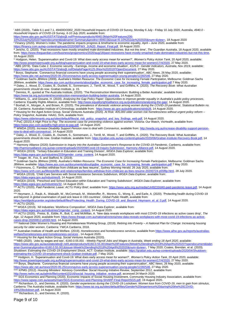<sup>i</sup> ABS (2020)., Table 6.1 and 7,1, 49400DO002\_2020 Household Impacts of COVID-19 Survey, Monday 6 July - Friday 10 July 2020, Australia, *4940.0 - Household Impacts of COVID-19 Survey, 6-10 July 2020*, available from:

vi Borys, Stephanie. 'Coronavirus financial concerns have young people accessing their superannuation', *ABC News*, 26 May 2020, available: [https://www.abc.net.au/news/2020-05-25/coronavirus-early-access-superannuation-young-people/12282546,](https://www.abc.net.au/news/2020-05-25/coronavirus-early-access-superannuation-young-people/12282546) 27 May 2020.

vii Goldman Sachs JBWere (2009). *Australia's Hidden Resource: The Economic Case for Increasing Female Participation*, Melbourne: Goldman Sachs JBWere, available: <u>https://www.asx.com.au/documents/about/gsjbw\_economic\_case\_for\_increasing\_female\_participation.pdf</u> 7 May 2020. viii Daley, J., Wood, D., Coates, B., Duckett, S., Sonnemann, J., Terrill, M., Wood, T. and Griffiths, K. (2020). *The Recovery Book: What Australian* 

*governments should do now*. Grattan Institute, p. 15.  $^\text{\tiny{ir}}$  Denniss, R., quoted at The Australia Institute, (2020). 'The Reconstruction Memorandum: Building a Better Australia', available from:

[https://www.tai.org.au/content/reconstruction-memorandum-building-better-australia,](https://www.tai.org.au/content/reconstruction-memorandum-building-better-australia) 14 August 2020. <sup>x</sup> Williams, G., and Gissane, H. (2020). *Analysing the Gap Policy Paper: Opportunities to improve gender equality in Australia's public policy processes*, Canberra: Equality Rights Alliance, available from: [http://www.equalityrightsalliance.org.au/publications/analysing-the-gap/,](http://www.equalityrightsalliance.org.au/publications/analysing-the-gap/) 14 August 2020.

xi Boxhall, H., Morgan, A. and Brown, R. (2020). *The prevalence of domestic violence among women during the COVID-19 pandemic*. Statistical Bulletin no. 28. Canberra: Australian Institute of Criminology, available from: [https://www.aic.gov.au/publications/sb/sb28,](https://www.aic.gov.au/publications/sb/sb28) 14 August 2020.

```
xii Housing for the Aged Action Group, Social Ventures Australia (2020). At Risk: 405,000 older women risk homelessness without urgent policy reform –
Policy Snapshot, Australia: HAAG, SVA, available from:
```
[https://www.oldertenants.org.au/sites/default/files/at\\_risk\\_policy\\_snapshot\\_and\\_key\\_findings\\_web.pdf,](https://www.oldertenants.org.au/sites/default/files/at_risk_policy_snapshot_and_key_findings_web.pdf) 14 August 2020.

xiii PwC (2015) *A High Price to Pay: The economic case for preventing violence against women*. Victoria: Our Watch, VicHealth, available from: [https://www.pwc.com.au/pdf/a-high-price-to-pay.pdf,](https://www.pwc.com.au/pdf/a-high-price-to-pay.pdf) 14 August 2020.

xiv WWDA (2020). *Increase Disability Support Pension now to deal with Coronavirus*, available from: [http://wwda.org.au/increase-disability-support-pension](http://wwda.org.au/increase-disability-support-pension-now-to-deal-with-coronavirus/)[now-to-deal-with-coronavirus/,](http://wwda.org.au/increase-disability-support-pension-now-to-deal-with-coronavirus/) 14 August 2020

xv Daley, J., Wood, D., Coates, B., Duckett, S., Sonnemann, J., Terrill, M., Wood, T. and Griffiths, K. (2020). The Recovery Book: What Australian governments should do now. Grattan Institute, available from: [https://grattan.edu.au/wp-content/uploads/2020/06/Grattan-Institute-Recovery-Book.pdf,](https://grattan.edu.au/wp-content/uploads/2020/06/Grattan-Institute-Recovery-Book.pdf) 14 August 2020.

xvi Harmony Alliance (2020) *Submission to Inquiry into the Australian Government's Response to the COVID-19 Pandemic*, Canberra, available from: [http://harmonyalliance.org.au/wp-content/uploads/2020/08/Covid-19-Inquiry-Submission\\_Harmony-Alliance.pdf,](http://harmonyalliance.org.au/wp-content/uploads/2020/08/Covid-19-Inquiry-Submission_Harmony-Alliance.pdf) 14 August 2020. xvii WGEA (2019). 'Tertiary Education in Education and Training Division', *WGEA Data Explorer*, available from:

[https://data.wgea.gov.au/industries/203#gender\\_comp\\_content,](https://data.wgea.gov.au/industries/203#gender_comp_content) 14 August 2020.

xviii Teager, W., Fox, S. and Stafford, N. (2019).

xix Goldman Sachs JBWere (2009). *Australia's Hidden Resource: The Economic Case for Increasing Female Participation*, Melbourne: Goldman Sachs JBWere, available[: https://www.asx.com.au/documents/about/gsjbw\\_economic\\_case\\_for\\_increasing\\_female\\_participation.pdf](https://www.asx.com.au/documents/about/gsjbw_economic_case_for_increasing_female_participation.pdf) 7 May 2020. xx Fitzimmons, C. 'Families withdraw from childcare as fees resume', *Sydney Morning Herald*, 26 July 2020, available from:

[https://www.smh.com.au/lifestyle/life-and-relationships/families-withdraw-from-childcare-as-fees-resume-20200724-p55f8p.html,](https://www.smh.com.au/lifestyle/life-and-relationships/families-withdraw-from-childcare-as-fees-resume-20200724-p55f8p.html) 28 July 2020. xxi WGEA (2019). 'Child Care Services with Social Assistance Services Subdivison, *WGEA Data Explorer*, available from:

[https://data.wgea.gov.au/industries/8,](https://data.wgea.gov.au/industries/8) 14 August 2020.

xxii WGEA (2019). 'Preschool and School Education within Education and Training Subdivision', *WGEA Data Explorer*, available from: [https://data.wgea.gov.au/industries/32,](https://data.wgea.gov.au/industries/32) 14 August 2020.

xxiii ACTU (2020). *Paid Pandemic Leave: ACTU Policy Brief*, available from: [https://www.actu.org.au/media/1449233/d40-paid-pandemic-leave.pdf,](https://www.actu.org.au/media/1449233/d40-paid-pandemic-leave.pdf) 14 August 2020.

xxiv Heymann, J., Raub, A., Waisaith, W., McCormack, M., Weistroffer, R., Moreno, G., Wong, E., and Earle, A. (2020). 'Protecting health during COVID-19 and beyond: A global examination of paid sick leave in 193 countries', *Global Public Health*, available from:

[https://worldpolicycenter.org/sites/default/files/Protecting\\_Health\\_During\\_COVID-19\\_and\\_Beyond\\_Heymann\\_et\\_al\\_0.pdf,](https://worldpolicycenter.org/sites/default/files/Protecting_Health_During_COVID-19_and_Beyond_Heymann_et_al_0.pdf) 14 August 2020. xxv ACTU (2020).

xxvi WGEA (2019). 'All Industries: Workforce Composition', *WGEA Data Explorer*, available from:

[https://data.wgea.gov.au/industries/1#gender\\_comp\\_content,](https://data.wgea.gov.au/industries/1#gender_comp_content) 14 August 2020.

xxvii ACTU (2020), Preiss, B., Eddie, R., Butt, C. and McMillan, A. 'New data reveals workplaces with most COVID-19 infections as active cases drop', *The Age*, 12 August 2020, available from[: https://www.theage.com.au/national/victoria/new-data-reveals-workplaces-with-most-covid-19-infections-as-active](https://www.theage.com.au/national/victoria/new-data-reveals-workplaces-with-most-covid-19-infections-as-active-cases-drop-20200812-p55l0l.html)[cases-drop-20200812-p55l0l.html,](https://www.theage.com.au/national/victoria/new-data-reveals-workplaces-with-most-covid-19-infections-as-active-cases-drop-20200812-p55l0l.html) 14 August 2020.

xxviii National Older Women's Housing and Homelessness Working Group, (2018). *Retiring into Poverty – A National Plan for Change: Increasing housing security for older women*, Canberra: YWCA Canberra, 2018.

xxix Australian Institute of Health and Welfare. (2019). *Homelessness and homelessness services,* available fro[m https://www.aihw.gov.au/reports/australias](https://www.aihw.gov.au/reports/australias-welfare/homelessness-and-homelessness-services)[welfare/homelessness-and-homelessness-services](https://www.aihw.gov.au/reports/australias-welfare/homelessness-and-homelessness-services) , 14 August 2020.

xxx Housing for the Aged Action Group, Social Ventures Australia (2020).

xxxiABS (2020). 'Jobs by wages and sex', *6160.0.55.001 - Weekly Payroll Jobs and Wages in Australia, Week ending 18 April 2020*, available:

[https://www.abs.gov.au/ausstats/abs@.nsf/Latestproducts/6160.0.55.001Main%20Features3Week%20ending%2018%20April%202020?opendocument&tabn](https://www.abs.gov.au/ausstats/abs@.nsf/Latestproducts/6160.0.55.001Main%20Features3Week%20ending%2018%20April%202020?opendocument&tabname=Summary&prodno=6160.0.55.001&issue=Week%20ending%2018%20April%202020&num=&view=) [ame=Summary&prodno=6160.0.55.001&issue=Week%20ending%2018%20April%202020&num=&view=,](https://www.abs.gov.au/ausstats/abs@.nsf/Latestproducts/6160.0.55.001Main%20Features3Week%20ending%2018%20April%202020?opendocument&tabname=Summary&prodno=6160.0.55.001&issue=Week%20ending%2018%20April%202020&num=&view=) 7 May 2020; Coates, Brendan, et al. (2020).

Shutdown: Estimating the COVID-19 Employment Shock, ACT: Grattan Institute, available: https://grattan.edu.au/wp-content/uploads/2020/04/S [estimating-the-COVID-19-employment-shock-Grattan-Institute.pdf,](https://grattan.edu.au/wp-content/uploads/2020/04/Shutdown-estimating-the-COVID-19-employment-shock-Grattan-Institute.pdf) 7 May 2020.

xxxii Hodgson, H. 'Superannuation and Covid-19: What does early access mean for women?', *Women's Policy Action Tank*, 20 April 2020, available: [http://www.powertopersuade.org.au/blog/superannuation-and-covid-19-what-does-early-access-mean-for-women/17/4/2020,](http://www.powertopersuade.org.au/blog/superannuation-and-covid-19-what-does-early-access-mean-for-women/17/4/2020) 27 May 2020.

xxxiii Borys, Stephanie. 'Coronavirus financial concerns have young people accessing their superannuation', *ABC News*, 26 May 2020, available: [https://www.abc.net.au/news/2020-05-25/coronavirus-early-access-superannuation-young-people/12282546,](https://www.abc.net.au/news/2020-05-25/coronavirus-early-access-superannuation-young-people/12282546) 27 May 2020.

xxxiv KPMG (2012). *Housing Ministers' Advisory Committee: Social Housing Initiative Review*, September 2012, available from:

[http://www.nwhn.net.au/admin/file/content101/c6/social\\_housing\\_initiative\\_review.pdf,](http://www.nwhn.net.au/admin/file/content101/c6/social_housing_initiative_review.pdf) accessed 24 March 2020.

xxxv SGS Economics and Planning (2020). Economic Impacts of Social Housing Investment, Community Housing Industry Association, available from: [https://www.sgsep.com.au/assets/main/SGS-Economics-and-Planning-SHARP-Final-ReportSGS.pdf,](https://www.sgsep.com.au/assets/main/SGS-Economics-and-Planning-SHARP-Final-ReportSGS.pdf) 19 August 2020.

xxxvi Richardson, D., and Denniss, R. (2020). *Gender experiences during the COVID-19 Lockdown: Women lose from COVID-19, men to gain from stimulus*, Canberra: The Australia Institute, available from: [https://www.tai.org.au/sites/default/files/Gender%20experience%20during%20the%20COVID-](https://www.tai.org.au/sites/default/files/Gender%20experience%20during%20the%20COVID-19%20lockdown.pdf)[19%20lockdown.pdf,](https://www.tai.org.au/sites/default/files/Gender%20experience%20during%20the%20COVID-19%20lockdown.pdf) 14 August 2020

xxxvii Richardson, D., and Denniss, R. (2020).

[https://www.abs.gov.au/AUSSTATS/abs@.nsf/Previousproducts/4940.0Main%20Features206-](https://www.abs.gov.au/AUSSTATS/abs@.nsf/Previousproducts/4940.0Main%20Features206-10%20July%202020?opendocument&tabname=Summary&prodno=4940.0&issue=6-10%20July%202020&num=&view=) [10%20July%202020?opendocument&tabname=Summary&prodno=4940.0&issue=6-10%20July%202020&num=&view=,](https://www.abs.gov.au/AUSSTATS/abs@.nsf/Previousproducts/4940.0Main%20Features206-10%20July%202020?opendocument&tabname=Summary&prodno=4940.0&issue=6-10%20July%202020&num=&view=) 18 August 2020

<sup>&</sup>lt;sup>ii</sup> Financy (2020). Women's Index: The pandemic impacts progress & timeframe to economic equality, April – June 2020, available from: [https://financy.com.au/wp-content/uploads/2020/08/FWX\\_JUN20\\_Report\\_Final.pdf,](https://financy.com.au/wp-content/uploads/2020/08/FWX_JUN20_Report_Final.pdf) 18 August 2020.

iii Jericho, G. (2020). 'Past recessions have mostly smashed male-dominated industries. But not this time', *The Guardian Australia*, 18 August 2020, available from[: https://www.theguardian.com/business/grogonomics/2020/aug/18/past-recessions-have-mostly-smashed-male-dominated-industries-but-not-this-time,](https://www.theguardian.com/business/grogonomics/2020/aug/18/past-recessions-have-mostly-smashed-male-dominated-industries-but-not-this-time)  18 August 2020.

iv Hodgson, Helen. 'Superannuation and Covid-19: What does early access mean for women?', *Women's Policy Action Tank*, 20 April 2020, available: ersuade.org.au/blog/superannuation-and-covid-19-what-does-early-access-mean-for-women/17/4/2020, 27 May 2020. <sup>v</sup> ABS (2019). 'Data Cube 2. Economic security - Earnings, income and economic situation', *4125.0 - Gender Indicators, Australia, Nov 2019*, available:

[https://www.abs.gov.au/AUSSTATS/abs@.nsf/DetailsPage/4125.0Nov%202019?OpenDocument,](https://www.abs.gov.au/AUSSTATS/abs@.nsf/DetailsPage/4125.0Nov%202019?OpenDocument) 27 May 2020.